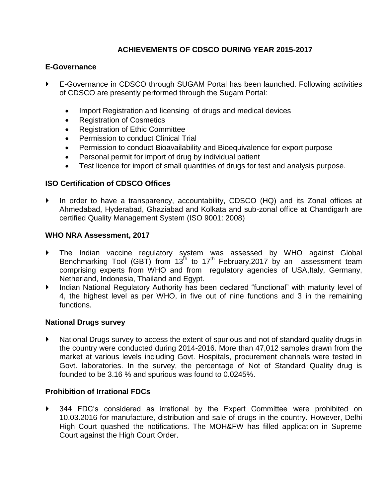# **ACHIEVEMENTS OF CDSCO DURING YEAR 2015-2017**

## **E-Governance**

- E-Governance in CDSCO through SUGAM Portal has been launched. Following activities of CDSCO are presently performed through the Sugam Portal:
	- Import Registration and licensing of drugs and medical devices
	- Registration of Cosmetics
	- Registration of Ethic Committee
	- Permission to conduct Clinical Trial
	- Permission to conduct Bioavailability and Bioequivalence for export purpose
	- Personal permit for import of drug by individual patient
	- Test licence for import of small quantities of drugs for test and analysis purpose.

## **ISO Certification of CDSCO Offices**

 In order to have a transparency, accountability, CDSCO (HQ) and its Zonal offices at Ahmedabad, Hyderabad, Ghaziabad and Kolkata and sub-zonal office at Chandigarh are certified Quality Management System (ISO 9001: 2008)

### **WHO NRA Assessment, 2017**

- The Indian vaccine regulatory system was assessed by WHO against Global Benchmarking Tool (GBT) from 13<sup>th</sup> to 17<sup>th</sup> February, 2017 by an assessment team comprising experts from WHO and from regulatory agencies of USA,Italy, Germany, Netherland, Indonesia, Thailand and Egypt.
- Indian National Regulatory Authority has been declared "functional" with maturity level of 4, the highest level as per WHO, in five out of nine functions and 3 in the remaining functions.

### **National Drugs survey**

 National Drugs survey to access the extent of spurious and not of standard quality drugs in the country were conducted during 2014-2016. More than 47,012 samples drawn from the market at various levels including Govt. Hospitals, procurement channels were tested in Govt. laboratories. In the survey, the percentage of Not of Standard Quality drug is founded to be 3.16 % and spurious was found to 0.0245%.

## **Prohibition of Irrational FDCs**

 344 FDC's considered as irrational by the Expert Committee were prohibited on 10.03.2016 for manufacture, distribution and sale of drugs in the country. However, Delhi High Court quashed the notifications. The MOH&FW has filled application in Supreme Court against the High Court Order.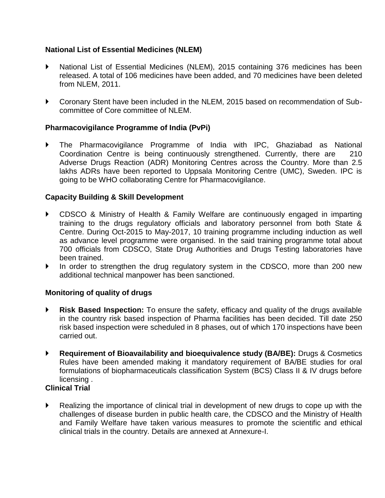## **National List of Essential Medicines (NLEM)**

- National List of Essential Medicines (NLEM), 2015 containing 376 medicines has been released. A total of 106 medicines have been added, and 70 medicines have been deleted from NLEM, 2011.
- Coronary Stent have been included in the NLEM, 2015 based on recommendation of Subcommittee of Core committee of NLEM.

## **Pharmacovigilance Programme of India (PvPi)**

 The Pharmacovigilance Programme of India with IPC, Ghaziabad as National Coordination Centre is being continuously strengthened. Currently, there are 210 Adverse Drugs Reaction (ADR) Monitoring Centres across the Country. More than 2.5 lakhs ADRs have been reported to Uppsala Monitoring Centre (UMC), Sweden. IPC is going to be WHO collaborating Centre for Pharmacovigilance.

### **Capacity Building & Skill Development**

- CDSCO & Ministry of Health & Family Welfare are continuously engaged in imparting training to the drugs regulatory officials and laboratory personnel from both State & Centre. During Oct-2015 to May-2017, 10 training programme including induction as well as advance level programme were organised. In the said training programme total about 700 officials from CDSCO, State Drug Authorities and Drugs Testing laboratories have been trained.
- In order to strengthen the drug regulatory system in the CDSCO, more than 200 new additional technical manpower has been sanctioned.

### **Monitoring of quality of drugs**

- **Risk Based Inspection:** To ensure the safety, efficacy and quality of the drugs available in the country risk based inspection of Pharma facilities has been decided. Till date 250 risk based inspection were scheduled in 8 phases, out of which 170 inspections have been carried out.
- **Requirement of Bioavailability and bioequivalence study (BA/BE):** Drugs & Cosmetics Rules have been amended making it mandatory requirement of BA/BE studies for oral formulations of biopharmaceuticals classification System (BCS) Class II & IV drugs before licensing .

## **Clinical Trial**

 Realizing the importance of clinical trial in development of new drugs to cope up with the challenges of disease burden in public health care, the CDSCO and the Ministry of Health and Family Welfare have taken various measures to promote the scientific and ethical clinical trials in the country. Details are annexed at Annexure-I.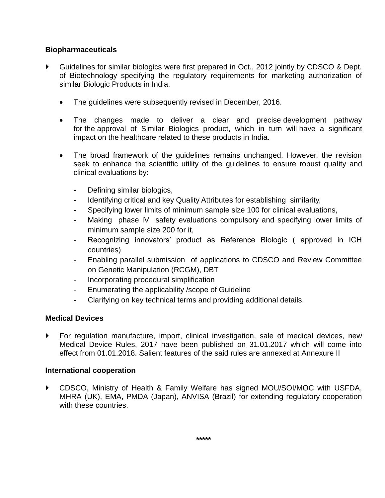## **Biopharmaceuticals**

- Guidelines for similar biologics were first prepared in Oct., 2012 jointly by CDSCO & Dept. of Biotechnology specifying the regulatory requirements for marketing authorization of similar Biologic Products in India.
	- The guidelines were subsequently revised in December, 2016.
	- The changes made to deliver a clear and precise development pathway for the approval of Similar Biologics product, which in turn will have a significant impact on the healthcare related to these products in India.
	- The broad framework of the guidelines remains unchanged. However, the revision seek to enhance the scientific utility of the guidelines to ensure robust quality and clinical evaluations by:
		- Defining similar biologics,
		- Identifying critical and key Quality Attributes for establishing similarity,
		- Specifying lower limits of minimum sample size 100 for clinical evaluations,
		- Making phase IV safety evaluations compulsory and specifying lower limits of minimum sample size 200 for it,
		- Recognizing innovators' product as Reference Biologic ( approved in ICH countries)
		- Enabling parallel submission of applications to CDSCO and Review Committee on Genetic Manipulation (RCGM), DBT
		- Incorporating procedural simplification
		- Enumerating the applicability /scope of Guideline
		- Clarifying on key technical terms and providing additional details.

### **Medical Devices**

 For regulation manufacture, import, clinical investigation, sale of medical devices, new Medical Device Rules, 2017 have been published on 31.01.2017 which will come into effect from 01.01.2018. Salient features of the said rules are annexed at Annexure II

### **International cooperation**

 CDSCO, Ministry of Health & Family Welfare has signed MOU/SOI/MOC with USFDA, MHRA (UK), EMA, PMDA (Japan), ANVISA (Brazil) for extending regulatory cooperation with these countries.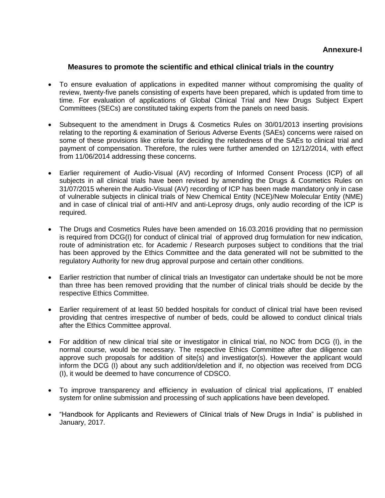#### **Measures to promote the scientific and ethical clinical trials in the country**

- To ensure evaluation of applications in expedited manner without compromising the quality of review, twenty-five panels consisting of experts have been prepared, which is updated from time to time. For evaluation of applications of Global Clinical Trial and New Drugs Subject Expert Committees (SECs) are constituted taking experts from the panels on need basis.
- Subsequent to the amendment in Drugs & Cosmetics Rules on 30/01/2013 inserting provisions relating to the reporting & examination of Serious Adverse Events (SAEs) concerns were raised on some of these provisions like criteria for deciding the relatedness of the SAEs to clinical trial and payment of compensation. Therefore, the rules were further amended on 12/12/2014, with effect from 11/06/2014 addressing these concerns.
- Earlier requirement of Audio-Visual (AV) recording of Informed Consent Process (ICP) of all subjects in all clinical trials have been revised by amending the Drugs & Cosmetics Rules on 31/07/2015 wherein the Audio-Visual (AV) recording of ICP has been made mandatory only in case of vulnerable subjects in clinical trials of New Chemical Entity (NCE)/New Molecular Entity (NME) and in case of clinical trial of anti-HIV and anti-Leprosy drugs, only audio recording of the ICP is required.
- The Drugs and Cosmetics Rules have been amended on 16.03.2016 providing that no permission is required from DCG(I) for conduct of clinical trial of approved drug formulation for new indication, route of administration etc. for Academic / Research purposes subject to conditions that the trial has been approved by the Ethics Committee and the data generated will not be submitted to the regulatory Authority for new drug approval purpose and certain other conditions.
- Earlier restriction that number of clinical trials an Investigator can undertake should be not be more than three has been removed providing that the number of clinical trials should be decide by the respective Ethics Committee.
- Earlier requirement of at least 50 bedded hospitals for conduct of clinical trial have been revised providing that centres irrespective of number of beds, could be allowed to conduct clinical trials after the Ethics Committee approval.
- For addition of new clinical trial site or investigator in clinical trial, no NOC from DCG (I), in the normal course, would be necessary. The respective Ethics Committee after due diligence can approve such proposals for addition of site(s) and investigator(s). However the applicant would inform the DCG (I) about any such addition/deletion and if, no objection was received from DCG (I), it would be deemed to have concurrence of CDSCO.
- To improve transparency and efficiency in evaluation of clinical trial applications, IT enabled system for online submission and processing of such applications have been developed.
- "Handbook for Applicants and Reviewers of Clinical trials of New Drugs in India" is published in January, 2017.